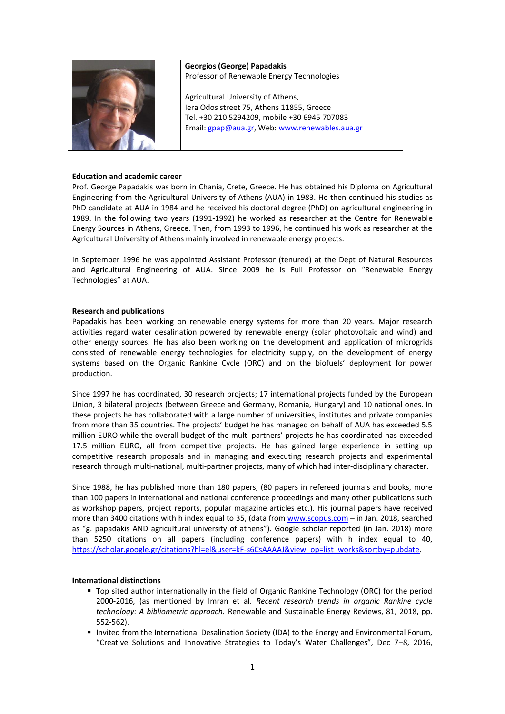

**Georgios (George) Papadakis** Professor of Renewable Energy Technologies

Agricultural University of Athens, Iera Odos street 75, Athens 11855, Greece Tel. +30 210 5294209, mobile +30 6945 707083 Email: [gpap@aua.gr,](mailto:gpap@aua.gr) Web[: www.renewables.aua.gr](http://www.renewables.aua.gr/)

## **Education and academic career**

Prof. George Papadakis was born in Chania, Crete, Greece. He has obtained his Diploma on Agricultural Engineering from the Agricultural University of Athens (AUA) in 1983. He then continued his studies as PhD candidate at AUA in 1984 and he received his doctoral degree (PhD) on agricultural engineering in 1989. In the following two years (1991-1992) he worked as researcher at the Centre for Renewable Energy Sources in Athens, Greece. Then, from 1993 to 1996, he continued his work as researcher at the Agricultural University of Athens mainly involved in renewable energy projects.

In September 1996 he was appointed Assistant Professor (tenured) at the Dept of Natural Resources and Agricultural Engineering of AUA. Since 2009 he is Full Professor on "Renewable Energy Technologies" at AUA.

## **Research and publications**

Papadakis has been working on renewable energy systems for more than 20 years. Major research activities regard water desalination powered by renewable energy (solar photovoltaic and wind) and other energy sources. He has also been working on the development and application of microgrids consisted of renewable energy technologies for electricity supply, on the development of energy systems based on the Organic Rankine Cycle (ORC) and on the biofuels' deployment for power production.

Since 1997 he has coordinated, 30 research projects; 17 international projects funded by the European Union, 3 bilateral projects (between Greece and Germany, Romania, Hungary) and 10 national ones. In these projects he has collaborated with a large number of universities, institutes and private companies from more than 35 countries. The projects' budget he has managed on behalf of AUA has exceeded 5.5 million EURO while the overall budget of the multi partners' projects he has coordinated has exceeded 17.5 million EURO, all from competitive projects. He has gained large experience in setting up competitive research proposals and in managing and executing research projects and experimental research through multi-national, multi-partner projects, many of which had inter-disciplinary character.

Since 1988, he has published more than 180 papers, (80 papers in refereed journals and books, more than 100 papers in international and national conference proceedings and many other publications such as workshop papers, project reports, popular magazine articles etc.). His journal papers have received more than 3400 citations with h index equal to 35, (data from [www.scopus.com](http://www.scopus.com/) – in Jan. 2018, searched as "g. papadakis AND agricultural university of athens"). Google scholar reported (in Jan. 2018) more than 5250 citations on all papers (including conference papers) with h index equal to 40, [https://scholar.google.gr/citations?hl=el&user=kF-s6CsAAAAJ&view\\_op=list\\_works&sortby=pubdate.](https://scholar.google.gr/citations?hl=el&user=kF-s6CsAAAAJ&view_op=list_works&sortby=pubdate)

#### **International distinctions**

- Top sited author internationally in the field of Organic Rankine Technology (ORC) for the period 2000-2016, (as mentioned by Imran et al. *Recent research trends in organic Rankine cycle technology: A bibliometric approach.* Renewable and Sustainable Energy Reviews, 81, 2018, pp. 552-562).
- Invited from the International Desalination Society (IDA) to the Energy and Environmental Forum, "Creative Solutions and Innovative Strategies to Today's Water Challenges", Dec 7–8, 2016,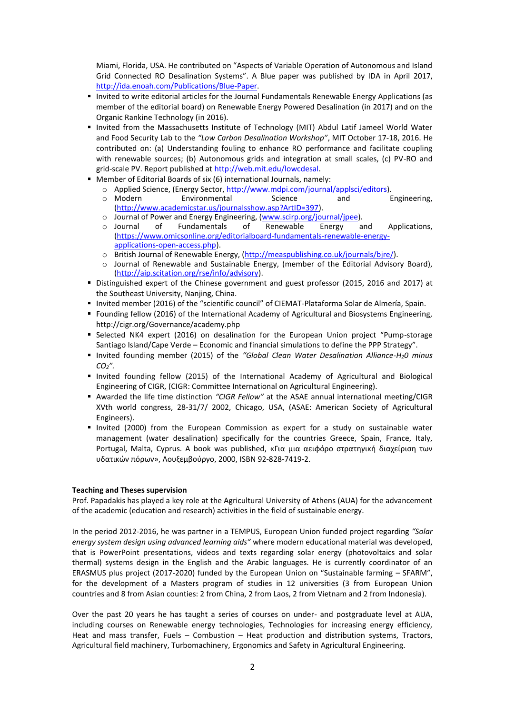Miami, Florida, USA. He contributed on "Aspects of Variable Operation of Autonomous and Island Grid Connected RO Desalination Systems". A Blue paper was published by IDA in April 2017, [http://ida.enoah.com/Publications/Blue-Paper.](http://ida.enoah.com/Publications/Blue-Paper)

- Invited to write editorial articles for the Journal Fundamentals Renewable Energy Applications (as member of the editorial board) on Renewable Energy Powered Desalination (in 2017) and on the Organic Rankine Technology (in 2016).
- Invited from the Massachusetts Institute of Technology (MIT) Abdul Latif Jameel World Water and Food Security Lab to the *"Low Carbon Desalination Workshop"*, MIT October 17-18, 2016. He contributed on: (a) Understanding fouling to enhance RO performance and facilitate coupling with renewable sources; (b) Autonomous grids and integration at small scales, (c) PV-RO and grid-scale PV. Report published a[t http://web.mit.edu/lowcdesal.](http://web.mit.edu/lowcdesal)
- Member of Editorial Boards of six (6) international Journals, namely:
	- o Applied Science, (Energy Sector, [http://www.mdpi.com/journal/applsci/editors\)](http://www.mdpi.com/journal/applsci/editors).<br>○ Modern Environmental Science and Engineering,
	- **Environmental** [\(http://www.academicstar.us/journalsshow.asp?ArtID=397\)](http://www.academicstar.us/journalsshow.asp?ArtID=397).
	- o Journal of Power and Energy Engineering, [\(www.scirp.org/journal/jpee\)](http://www.scirp.org/journal/jpee).<br>
	o Journal of Fundamentals of Renewable Energy a
	- of Fundamentals of Renewable Energy and Applications, [\(https://www.omicsonline.org/editorialboard-fundamentals-renewable-energy](https://www.omicsonline.org/editorialboard-fundamentals-renewable-energy-applications-open-access.php)[applications-open-access.php\)](https://www.omicsonline.org/editorialboard-fundamentals-renewable-energy-applications-open-access.php).
	- o British Journal of Renewable Energy, [\(http://measpublishing.co.uk/journals/bjre/\)](http://measpublishing.co.uk/journals/bjre/).
	- o Journal of Renewable and Sustainable Energy, (member of the Editorial Advisory Board), [\(http://aip.scitation.org/rse/info/advisory\)](http://aip.scitation.org/rse/info/advisory).
- Distinguished expert of the Chinese government and guest professor (2015, 2016 and 2017) at the Southeast University, Nanjing, China.
- Invited member (2016) of the "scientific council" of CIEMAT-Plataforma Solar de Almería, Spain.
- Founding fellow (2016) of the International Academy of Agricultural and Biosystems Engineering, <http://cigr.org/Governance/academy.php>
- Selected NK4 expert (2016) on desalination for the European Union project "Pump-storage Santiago Island/Cape Verde – Economic and financial simulations to define the PPP Strategy".
- Invited founding member (2015) of the *"Global Clean Water Desalination Alliance-H20 minus CO2".*
- Invited founding fellow (2015) of the International Academy of Agricultural and Biological Engineering of CIGR, (CIGR: Committee International on Agricultural Engineering).
- Awarded the life time distinction *"CIGR Fellow"* at the ASAE annual international meeting/CIGR XVth world congress, 28-31/7/ 2002, Chicago, USA, (ASAE: American Society of Agricultural Engineers).
- **.** Invited (2000) from the European Commission as expert for a study on sustainable water management (water desalination) specifically for the countries Greece, Spain, France, Italy, Portugal, Malta, Cyprus. A book was published, «Για μια αειφόρο στρατηγική διαχείριση των υδατικών πόρων», Λουξεμβούργο, 2000, ISBN 92-828-7419-2.

#### **Teaching and Theses supervision**

Prof. Papadakis has played a key role at the Agricultural University of Athens (AUA) for the advancement of the academic (education and research) activities in the field of sustainable energy.

In the period 2012-2016, he was partner in a TEMPUS, European Union funded project regarding *"Solar energy system design using advanced learning aids"* where modern educational material was developed, that is PowerPoint presentations, videos and texts regarding solar energy (photovoltaics and solar thermal) systems design in the English and the Arabic languages. He is currently coordinator of an ERASMUS plus project (2017-2020) funded by the European Union on "Sustainable farming – SFARM", for the development of a Masters program of studies in 12 universities (3 from European Union countries and 8 from Asian counties: 2 from China, 2 from Laos, 2 from Vietnam and 2 from Indonesia).

Over the past 20 years he has taught a series of courses on under- and postgraduate level at AUA, including courses on Renewable energy technologies, Technologies for increasing energy efficiency, Heat and mass transfer, Fuels – Combustion – Heat production and distribution systems, Tractors, Agricultural field machinery, Turbomachinery, Ergonomics and Safety in Agricultural Engineering.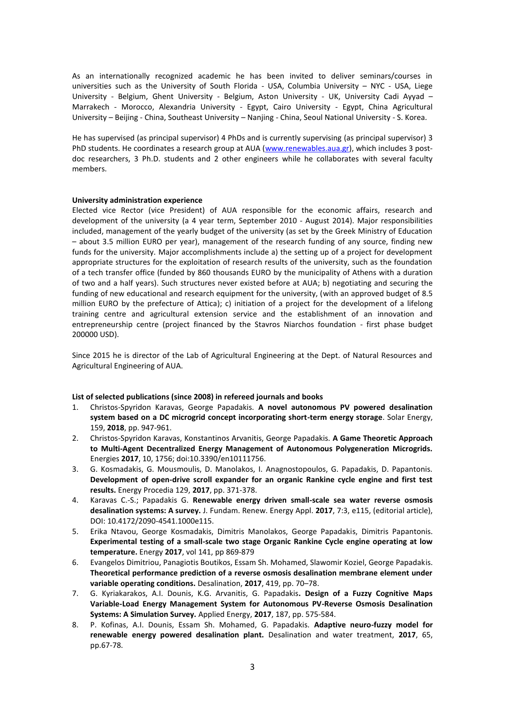As an internationally recognized academic he has been invited to deliver seminars/courses in universities such as the University of South Florida - USA, Columbia University – NYC - USA, Liege University - Belgium, Ghent University - Belgium, Aston University - UK, University Cadi Ayyad -Marrakech - Morocco, Alexandria University - Egypt, Cairo University - Egypt, China Agricultural University – Beijing - China, Southeast University – Nanjing - China, Seoul National University - S. Korea.

He has supervised (as principal supervisor) 4 PhDs and is currently supervising (as principal supervisor) 3 PhD students. He coordinates a research group at AUA [\(www.renewables.aua.gr\)](http://www.renewables.aua.gr/), which includes 3 postdoc researchers, 3 Ph.D. students and 2 other engineers while he collaborates with several faculty members.

## **University administration experience**

Elected vice Rector (vice President) of AUA responsible for the economic affairs, research and development of the university (a 4 year term, September 2010 - August 2014). Major responsibilities included, management of the yearly budget of the university (as set by the Greek Ministry of Education – about 3.5 million EURO per year), management of the research funding of any source, finding new funds for the university. Major accomplishments include a) the setting up of a project for development appropriate structures for the exploitation of research results of the university, such as the foundation of a tech transfer office (funded by 860 thousands EURO by the municipality of Athens with a duration of two and a half years). Such structures never existed before at AUA; b) negotiating and securing the funding of new educational and research equipment for the university, (with an approved budget of 8.5 million EURO by the prefecture of Attica); c) initiation of a project for the development of a lifelong training centre and agricultural extension service and the establishment of an innovation and entrepreneurship centre (project financed by the Stavros Niarchos foundation - first phase budget 200000 USD).

Since 2015 he is director of the Lab of Agricultural Engineering at the Dept. of Natural Resources and Agricultural Engineering of AUA.

# **List of selected publications (since 2008) in refereed journals and books**

- 1. Christos-Spyridon Karavas, George Papadakis. **A novel autonomous PV powered desalination system based on a DC microgrid concept incorporating short-term energy storage**. Solar Energy, 159, **2018**, pp. 947-961.
- 2. Christos-Spyridon Karavas, Konstantinos Arvanitis, George Papadakis. **A Game Theoretic Approach to Multi-Agent Decentralized Energy Management of Autonomous Polygeneration Microgrids.** Energies **2017**, 10, 1756; doi:10.3390/en10111756.
- 3. G. Kosmadakis, G. Mousmoulis, D. Manolakos, I. Anagnostopoulos, G. Papadakis, D. Papantonis. **Development of open-drive scroll expander for an organic Rankine cycle engine and first test results.** Energy Procedia 129, **2017**, pp. 371-378.
- 4. Karavas C.-S.; Papadakis G. **Renewable energy driven small-scale sea water reverse osmosis desalination systems: A survey.** J. Fundam. Renew. Energy Appl. **2017**, 7:3, e115, (editorial article), DOI: 10.4172/2090-4541.1000e115.
- 5. Erika Ntavou, George Kosmadakis, Dimitris Manolakos, George Papadakis, Dimitris Papantonis. **Experimental testing of a small-scale two stage Organic Rankine Cycle engine operating at low temperature.** Energy **2017**, vol 141, pp 869-879
- 6. Evangelos Dimitriou, Panagiotis Boutikos, Essam Sh. Mohamed, Slawomir Koziel, George Papadakis. **Theoretical performance prediction of a reverse osmosis desalination membrane element under variable operating conditions.** Desalination, **2017**, 419, pp. 70–78.
- 7. G. Kyriakarakos, A.I. Dounis, K.G. Arvanitis, G. Papadakis**. Design of a Fuzzy Cognitive Maps Variable-Load Energy Management System for Autonomous PV-Reverse Osmosis Desalination Systems: A Simulation Survey.** Applied Energy, **2017**, 187, pp. 575-584.
- 8. P. Kofinas, A.I. Dounis, Essam Sh. Mohamed, G. Papadakis. **Adaptive neuro-fuzzy model for renewable energy powered desalination plant.** Desalination and water treatment, **2017**, 65, pp.67-78.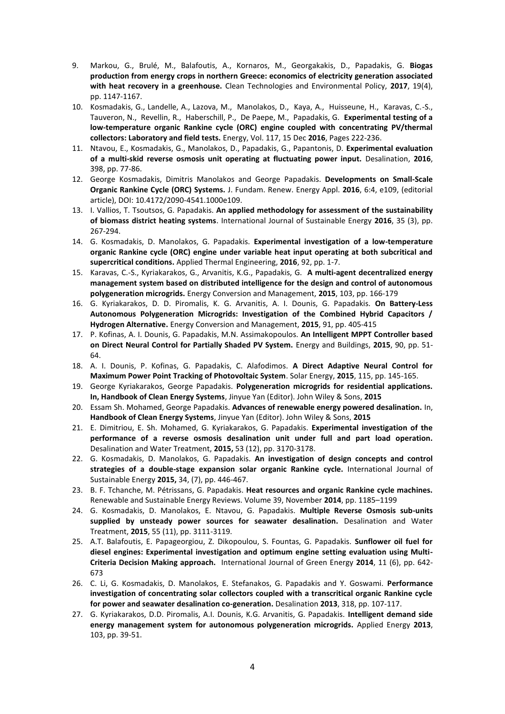- 9. Markou, G., Brulé, M., Balafoutis, A., Kornaros, M., Georgakakis, D., Papadakis, G. **Biogas production from energy crops in northern Greece: economics of electricity generation associated with heat recovery in a greenhouse.** Clean Technologies and Environmental Policy, **2017**, 19(4), pp. 1147-1167.
- 10. Kosmadakis, G., Landelle, A., Lazova, M., Manolakos, D., Kaya, A., Huisseune, H., Karavas, C.-S., Tauveron, N., Revellin, R., Haberschill, P., De Paepe, M., Papadakis, G. **Experimental testing of a low-temperature organic Rankine cycle (ORC) engine coupled with concentrating PV/thermal collectors: Laboratory and field tests.** Energy, Vol. 117, 15 Dec **2016**, Pages 222-236.
- 11. Ntavou, E., Kosmadakis, G., Manolakos, D., Papadakis, G., Papantonis, D. **Experimental evaluation of a multi-skid reverse osmosis unit operating at fluctuating power input.** Desalination, **2016**, 398, pp. 77-86.
- 12. George Kosmadakis, Dimitris Manolakos and George Papadakis. **Developments on Small-Scale Organic Rankine Cycle (ORC) Systems.** J. Fundam. Renew. Energy Appl. **2016**, 6:4, e109, (editorial article), DOI: 10.4172/2090-4541.1000e109.
- 13. I. Vallios, T. Tsoutsos, G. Papadakis. **An applied methodology for assessment of the sustainability of biomass district heating systems**. International Journal of Sustainable Energy **2016**, 35 (3), pp. 267-294.
- 14. G. Kosmadakis, D. Manolakos, G. Papadakis. **Experimental investigation of a low-temperature organic Rankine cycle (ORC) engine under variable heat input operating at both subcritical and supercritical conditions.** Applied Thermal Engineering, **2016**, 92, pp. 1-7.
- 15. Karavas, C.-S., Kyriakarakos, G., Arvanitis, K.G., Papadakis, G. **A multi-agent decentralized energy management system based on distributed intelligence for the design and control of autonomous polygeneration microgrids.** Energy Conversion and Management, **2015**, 103, pp. 166-179
- 16. G. Kyriakarakos, D. D. Piromalis, K. G. Arvanitis, A. I. Dounis, G. Papadakis. **On Battery-Less Autonomous Polygeneration Microgrids: Investigation of the Combined Hybrid Capacitors / Hydrogen Alternative.** Energy Conversion and Management, **2015**, 91, pp. 405-415
- 17. P. Kofinas, A. I. Dounis, G. Papadakis, M.N. Assimakopoulos. **An Intelligent MPPT Controller based on Direct Neural Control for Partially Shaded PV System.** Energy and Buildings, **2015**, 90, pp. 51- 64.
- 18. A. I. Dounis, P. Kofinas, G. Papadakis, C. Alafodimos. **A Direct Adaptive Neural Control for Maximum Power Point Tracking of Photovoltaic System**. Solar Energy, **2015**, 115, pp. 145-165.
- 19. George Kyriakarakos, George Papadakis. **Polygeneration microgrids for residential applications. In, Handbook of Clean Energy Systems**, Jinyue Yan (Editor). John Wiley & Sons, **2015**
- 20. Essam Sh. Mohamed, George Papadakis. **Advances of renewable energy powered desalination.** In, **Handbook of Clean Energy Systems**, Jinyue Yan (Editor). John Wiley & Sons, **2015**
- 21. E. Dimitriou, E. Sh. Mohamed, G. Kyriakarakos, G. Papadakis. **Experimental investigation of the performance of a reverse osmosis desalination unit under full and part load operation.** Desalination and Water Treatment, **2015,** 53 (12), pp. 3170-3178.
- 22. G. Kosmadakis, D. Manolakos, G. Papadakis. **An investigation of design concepts and control strategies of a double-stage expansion solar organic Rankine cycle.** International Journal of Sustainable Energy **2015,** 34, (7), pp. 446-467.
- 23. B. F. Tchanche, M. Pétrissans, G. Papadakis. **Heat resources and organic Rankine cycle machines.** Renewable and Sustainable Energy Reviews. Volume 39, November **2014**, pp. 1185–1199
- 24. G. Kosmadakis, D. Manolakos, E. Ntavou, G. Papadakis. **Multiple Reverse Osmosis sub-units supplied by unsteady power sources for seawater desalination.** Desalination and Water Treatment, **2015**, 55 (11), pp. 3111-3119.
- 25. Α.T. Balafoutis, E. Papageorgiou, Z. Dikopoulou, S. Fountas, G. Papadakis. **Sunflower oil fuel for diesel engines: Experimental investigation and optimum engine setting evaluation using Multi-Criteria Decision Making approach.** International Journal of Green Energy **2014**, 11 (6), pp. 642- 673
- 26. C. Li, G. Kosmadakis, D. Manolakos, E. Stefanakos, G. Papadakis and Y. Goswami. **Performance investigation of concentrating solar collectors coupled with a transcritical organic Rankine cycle for power and seawater desalination co-generation.** Desalination **2013**, 318, pp. 107-117.
- 27. G. Kyriakarakos, D.D. Piromalis, A.I. Dounis, K.G. Arvanitis, G. Papadakis. **Intelligent demand side energy management system for autonomous polygeneration microgrids.** Applied Energy **2013**, 103, pp. 39-51.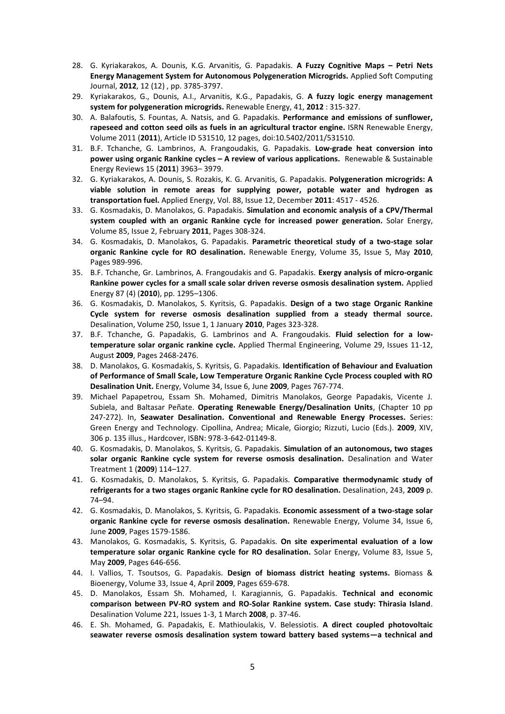- 28. G. Kyriakarakos, A. Dounis, K.G. Arvanitis, G. Papadakis. **A Fuzzy Cognitive Maps – Petri Nets Energy Management System for Autonomous Polygeneration Microgrids.** Applied Soft Computing Journal, **2012**, 12 (12) , pp. 3785-3797.
- 29. Kyriakarakos, G., Dounis, A.I., Arvanitis, K.G., Papadakis, G. **A fuzzy logic energy management system for polygeneration microgrids.** Renewable Energy, 41, **2012** : 315-327.
- 30. A. Balafoutis, S. Fountas, A. Natsis, and G. Papadakis. **Performance and emissions of sunflower, rapeseed and cotton seed oils as fuels in an agricultural tractor engine.** ISRN Renewable Energy, Volume 2011 (**2011**), Article ID 531510, 12 pages, doi:10.5402/2011/531510.
- 31. B.F. Tchanche, G. Lambrinos, A. Frangoudakis, G. Papadakis. **Low-grade heat conversion into power using organic Rankine cycles – A review of various applications.** Renewable & Sustainable Energy Reviews 15 (**2011**) 3963– 3979.
- 32. G. Kyriakarakos, A. Dounis, S. Rozakis, K. G. Arvanitis, G. Papadakis. **Polygeneration microgrids: A viable solution in remote areas for supplying power, potable water and hydrogen as transportation fuel.** Applied Energy, Vol. 88, Issue 12, December **2011**: 4517 - 4526.
- 33. G. Kosmadakis, D. Manolakos, G. Papadakis. **Simulation and economic analysis of a CPV/Thermal system coupled with an organic Rankine cycle for increased power generation.** Solar Energy, Volume 85, Issue 2, February **2011**, Pages 308-324.
- 34. G. Kosmadakis, D. Manolakos, G. Papadakis. **Parametric theoretical study of a two-stage solar organic Rankine cycle for RO desalination.** Renewable Energy, Volume 35, Issue 5, May **2010**, Pages 989-996.
- 35. B.F. Tchanche, Gr. Lambrinos, A. Frangoudakis and G. Papadakis. **Exergy analysis of micro-organic Rankine power cycles for a small scale solar driven reverse osmosis desalination system.** Applied Energy 87 (4) (**2010**), pp. 1295–1306.
- 36. G. Kosmadakis, D. Manolakos, S. Kyritsis, G. Papadakis. **Design of a two stage Organic Rankine Cycle system for reverse osmosis desalination supplied from a steady thermal source.** Desalination, Volume 250, Issue 1, 1 January **2010**, Pages 323-328.
- 37. B.F. Tchanche, G. Papadakis, G. Lambrinos and A. Frangoudakis. **Fluid selection for a lowtemperature solar organic rankine cycle.** Applied Thermal Engineering, Volume 29, Issues 11-12, August **2009**, Pages 2468-2476.
- 38. D. Manolakos, G. Kosmadakis, S. Kyritsis, G. Papadakis. **Identification of Behaviour and Evaluation of Performance of Small Scale, Low Temperature Organic Rankine Cycle Process coupled with RO Desalination Unit.** Energy, Volume 34, Issue 6, June **2009**, Pages 767-774.
- 39. Michael Papapetrou, Essam Sh. Mohamed, Dimitris Manolakos, George Papadakis, Vicente J. Subiela, and Baltasar Peñate. **Operating Renewable Energy/Desalination Units**, (Chapter 10 pp 247-272). In, **Seawater Desalination. Conventional and Renewable Energy Processes.** Series: Green Energy and Technology. Cipollina, Andrea; Micale, Giorgio; Rizzuti, Lucio (Eds.). **2009**, XIV, 306 p. 135 illus., Hardcover, ISBN: 978-3-642-01149-8.
- 40. G. Kosmadakis, D. Manolakos, S. Kyritsis, G. Papadakis. **Simulation of an autonomous, two stages solar organic Rankine cycle system for reverse osmosis desalination.** Desalination and Water Treatment 1 (**2009**) 114–127.
- 41. G. Kosmadakis, D. Manolakos, S. Kyritsis, G. Papadakis. **Comparative thermodynamic study of refrigerants for a two stages organic Rankine cycle for RO desalination.** Desalination, 243, **2009** p. 74–94.
- 42. G. Kosmadakis, D. Manolakos, S. Kyritsis, G. Papadakis. **Economic assessment of a two-stage solar organic Rankine cycle for reverse osmosis desalination.** Renewable Energy, Volume 34, Issue 6, June **2009**, Pages 1579-1586.
- 43. Manolakos, G. Kosmadakis, S. Kyritsis, G. Papadakis. **On site experimental evaluation of a low temperature solar organic Rankine cycle for RO desalination.** Solar Energy, Volume 83, Issue 5, May **2009**, Pages 646-656.
- 44. I. Vallios, T. Tsoutsos, G. Papadakis. **Design of biomass district heating systems.** Biomass & Bioenergy, Volume 33, Issue 4, April **2009**, Pages 659-678.
- 45. D. Manolakos, Essam Sh. Mohamed, I. Karagiannis, G. Papadakis. **Technical and economic comparison between PV-RO system and RO-Solar Rankine system. Case study: Thirasia Island**. Desalination Volume 221, Issues 1-3, 1 March **2008**, p. 37-46.
- 46. E. Sh. Mohamed, G. Papadakis, E. Mathioulakis, V. Belessiotis. **A direct coupled photovoltaic seawater reverse osmosis desalination system toward battery based systems—a technical and**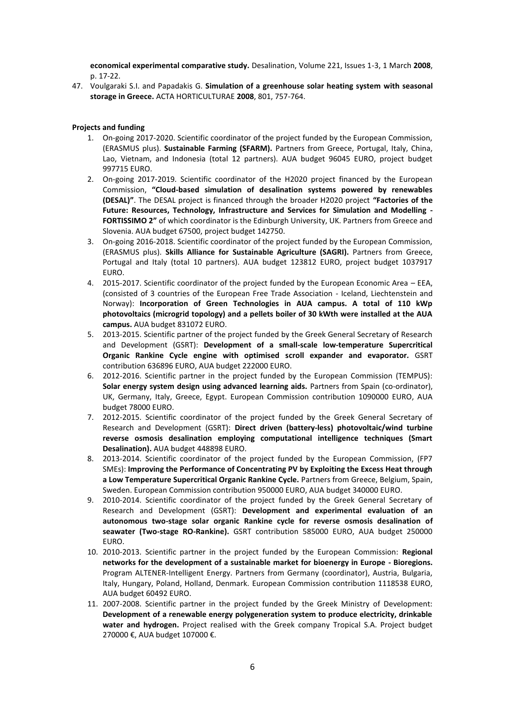**economical experimental comparative study.** Desalination, Volume 221, Issues 1-3, 1 March **2008**, p. 17-22.

47. Voulgaraki S.I. and Papadakis G. **Simulation of a greenhouse solar heating system with seasonal storage in Greece.** ACTA HORTICULTURAE **2008**, 801, 757-764.

## **Projects and funding**

- 1. On-going 2017-2020. Scientific coordinator of the project funded by the European Commission, (ERASMUS plus). **Sustainable Farming (SFARM).** Partners from Greece, Portugal, Italy, China, Lao, Vietnam, and Indonesia (total 12 partners). AUA budget 96045 EURO, project budget 997715 EURO.
- 2. On-going 2017-2019. Scientific coordinator of the H2020 project financed by the European Commission, **"Cloud-based simulation of desalination systems powered by renewables (DESAL)"**. The DESAL project is financed through the broader H2020 project **"Factories of the Future: Resources, Technology, Infrastructure and Services for Simulation and Modelling - FORTISSIMO 2"** of which coordinator is the Edinburgh University, UK. Partners from Greece and Slovenia. AUA budget 67500, project budget 142750.
- 3. On-going 2016-2018. Scientific coordinator of the project funded by the European Commission, (ERASMUS plus). **Skills Alliance for Sustainable Agriculture (SAGRI).** Partners from Greece, Portugal and Italy (total 10 partners). AUA budget 123812 EURO, project budget 1037917 EURO.
- 4. 2015-2017. Scientific coordinator of the project funded by the European Economic Area EEA, (consisted of 3 countries of the European Free Trade Association - Iceland, Liechtenstein and Norway): **Incorporation of Green Technologies in AUA campus. A total of 110 kWp photovoltaics (microgrid topology) and a pellets boiler of 30 kWth were installed at the AUA campus.** AUA budget 831072 EURO.
- 5. 2013-2015. Scientific partner of the project funded by the Greek General Secretary of Research and Development (GSRT): **Development of a small-scale low-temperature Supercritical Organic Rankine Cycle engine with optimised scroll expander and evaporator***.* GSRT contribution 636896 EURO, AUA budget 222000 EURO.
- 6. 2012-2016. Scientific partner in the project funded by the European Commission (TEMPUS): **Solar energy system design using advanced learning aids.** Partners from Spain (co-ordinator), UK, Germany, Italy, Greece, Egypt. European Commission contribution 1090000 EURO, AUA budget 78000 EURO.
- 7. 2012-2015. Scientific coordinator of the project funded by the Greek General Secretary of Research and Development (GSRT): **Direct driven (battery-less) photovoltaic/wind turbine reverse osmosis desalination employing computational intelligence techniques (Smart Desalination).** AUA budget 448898 EURO.
- 8. 2013-2014. Scientific coordinator of the project funded by the European Commission, (FP7 SMEs): **Improving the Performance of Concentrating PV by Exploiting the Excess Heat through a Low Temperature Supercritical Organic Rankine Cycle.** Partners from Greece, Belgium, Spain, Sweden. European Commission contribution 950000 EURO, AUA budget 340000 EURO.
- 9. 2010-2014. Scientific coordinator of the project funded by the Greek General Secretary of Research and Development (GSRT): **Development and experimental evaluation of an autonomous two-stage solar organic Rankine cycle for reverse osmosis desalination of seawater (Two-stage RO-Rankine).** GSRT contribution 585000 EURO, AUA budget 250000 EURO.
- 10. 2010-2013. Scientific partner in the project funded by the European Commission: **Regional networks for the development of a sustainable market for bioenergy in Europe - Bioregions.** Program ALTENER-Intelligent Energy. Partners from Germany (coordinator), Austria, Bulgaria, Italy, Hungary, Poland, Holland, Denmark. European Commission contribution 1118538 EURO, AUA budget 60492 EURO.
- 11. 2007-2008. Scientific partner in the project funded by the Greek Ministry of Development: **Development of a renewable energy polygeneration system to produce electricity, drinkable water and hydrogen.** Project realised with the Greek company Tropical S.A. Project budget 270000 €, AUA budget 107000 €.